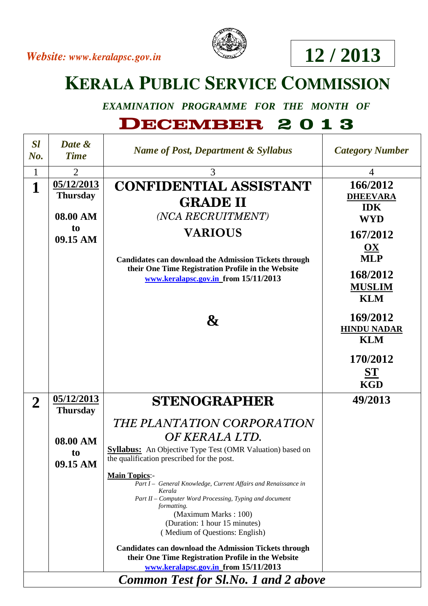



## **12 / 2013**

## **KERALA PUBLIC SERVICE COMMISSION**

*EXAMINATION PROGRAMME FOR THE MONTH OF* 

## **DECEMBER 2 0 1 3**

| <b>Sl</b><br>$No$ .                         | Date &<br><b>Time</b>                                       | <b>Name of Post, Department &amp; Syllabus</b>                                                                                                                                                                                                                                                                                                                                                                                                                                                                                                                                                 | <b>Category Number</b>                                                                                                                        |
|---------------------------------------------|-------------------------------------------------------------|------------------------------------------------------------------------------------------------------------------------------------------------------------------------------------------------------------------------------------------------------------------------------------------------------------------------------------------------------------------------------------------------------------------------------------------------------------------------------------------------------------------------------------------------------------------------------------------------|-----------------------------------------------------------------------------------------------------------------------------------------------|
| $\mathbf{1}$                                | $\overline{2}$                                              | 3                                                                                                                                                                                                                                                                                                                                                                                                                                                                                                                                                                                              | $\overline{4}$                                                                                                                                |
| $\mathbf{1}$                                | 05/12/2013<br><b>Thursday</b><br>08.00 AM<br>to<br>09.15 AM | <b>CONFIDENTIAL ASSISTANT</b><br><b>GRADE II</b><br>(NCA RECRUITMENT)<br><b>VARIOUS</b><br><b>Candidates can download the Admission Tickets through</b><br>their One Time Registration Profile in the Website<br>www.keralapsc.gov.in from 15/11/2013                                                                                                                                                                                                                                                                                                                                          | 166/2012<br><b>DHEEVARA</b><br><b>IDK</b><br><b>WYD</b><br>167/2012<br>$\mathbf{OX}$<br><b>MLP</b><br>168/2012<br><b>MUSLIM</b><br><b>KLM</b> |
|                                             |                                                             | $\boldsymbol{\&}$                                                                                                                                                                                                                                                                                                                                                                                                                                                                                                                                                                              | 169/2012<br><b>HINDU NADAR</b><br><b>KLM</b><br>170/2012<br>$S_{\rm T}$<br><b>KGD</b>                                                         |
| $\overline{2}$                              | 05/12/2013                                                  | <b>STENOGRAPHER</b>                                                                                                                                                                                                                                                                                                                                                                                                                                                                                                                                                                            | 49/2013                                                                                                                                       |
|                                             | <b>Thursday</b>                                             |                                                                                                                                                                                                                                                                                                                                                                                                                                                                                                                                                                                                |                                                                                                                                               |
|                                             | 08.00 AM<br>to<br>09.15 AM                                  | THE PLANTATION CORPORATION<br>OF KERALA LTD.<br><b>Syllabus:</b> An Objective Type Test (OMR Valuation) based on<br>the qualification prescribed for the post.<br>Main Topics:-<br>Part I - General Knowledge, Current Affairs and Renaissance in<br>Kerala<br>Part II – Computer Word Processing, Typing and document<br>formatting.<br>(Maximum Marks: 100)<br>(Duration: 1 hour 15 minutes)<br>(Medium of Questions: English)<br><b>Candidates can download the Admission Tickets through</b><br>their One Time Registration Profile in the Website<br>www.keralapsc.gov.in from 15/11/2013 |                                                                                                                                               |
| <b>Common Test for Sl.No. 1 and 2 above</b> |                                                             |                                                                                                                                                                                                                                                                                                                                                                                                                                                                                                                                                                                                |                                                                                                                                               |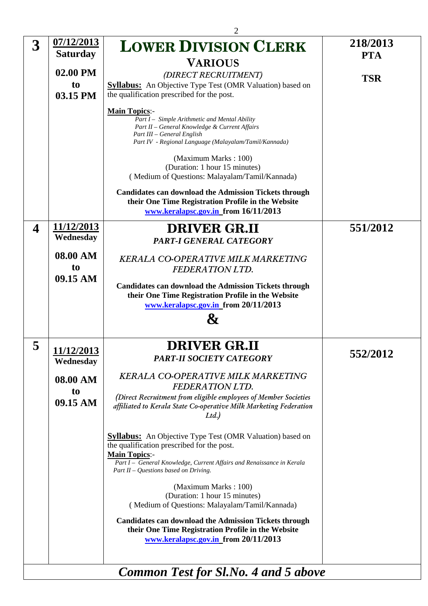|                         |                               | $\overline{2}$                                                                                                                                                                                                |                        |
|-------------------------|-------------------------------|---------------------------------------------------------------------------------------------------------------------------------------------------------------------------------------------------------------|------------------------|
| $\overline{\mathbf{3}}$ | 07/12/2013<br><b>Saturday</b> | <b>LOWER DIVISION CLERK</b>                                                                                                                                                                                   | 218/2013<br><b>PTA</b> |
|                         |                               | <b>VARIOUS</b>                                                                                                                                                                                                |                        |
|                         | 02.00 PM                      | (DIRECT RECRUITMENT)                                                                                                                                                                                          |                        |
|                         | to                            | <b>Syllabus:</b> An Objective Type Test (OMR Valuation) based on                                                                                                                                              | <b>TSR</b>             |
|                         | 03.15 PM                      | the qualification prescribed for the post.                                                                                                                                                                    |                        |
|                         |                               | <b>Main Topics:-</b><br>Part I - Simple Arithmetic and Mental Ability<br>Part II - General Knowledge & Current Affairs<br>Part III - General English<br>Part IV - Regional Language (Malayalam/Tamil/Kannada) |                        |
|                         |                               | (Maximum Marks: 100)<br>(Duration: 1 hour 15 minutes)<br>(Medium of Questions: Malayalam/Tamil/Kannada)                                                                                                       |                        |
|                         |                               | <b>Candidates can download the Admission Tickets through</b><br>their One Time Registration Profile in the Website<br>www.keralapsc.gov.in from 16/11/2013                                                    |                        |
| $\boldsymbol{4}$        | <u>11/12/2013</u>             | <b>DRIVER GR.II</b>                                                                                                                                                                                           | 551/2012               |
|                         | Wednesday                     | <b>PART-I GENERAL CATEGORY</b>                                                                                                                                                                                |                        |
|                         |                               |                                                                                                                                                                                                               |                        |
|                         | 08.00 AM                      | <b>KERALA CO-OPERATIVE MILK MARKETING</b>                                                                                                                                                                     |                        |
|                         | to                            | <b>FEDERATION LTD.</b>                                                                                                                                                                                        |                        |
|                         | 09.15 AM                      | <b>Candidates can download the Admission Tickets through</b>                                                                                                                                                  |                        |
|                         |                               | their One Time Registration Profile in the Website                                                                                                                                                            |                        |
|                         |                               | www.keralapsc.gov.in from 20/11/2013                                                                                                                                                                          |                        |
|                         |                               | &                                                                                                                                                                                                             |                        |
|                         |                               |                                                                                                                                                                                                               |                        |
| 5                       | 11/12/2013<br>Wednesday       | <b>DRIVER GR.II</b><br><b>PART-II SOCIETY CATEGORY</b>                                                                                                                                                        | 552/2012               |
|                         |                               | <b>KERALA CO-OPERATIVE MILK MARKETING</b>                                                                                                                                                                     |                        |
|                         | 08.00 AM                      | <b>FEDERATION LTD.</b>                                                                                                                                                                                        |                        |
|                         | to<br>09.15 AM                | (Direct Recruitment from eligible employees of Member Societies<br>affiliated to Kerala State Co-operative Milk Marketing Federation<br>Ltd.                                                                  |                        |
|                         |                               | <b>Syllabus:</b> An Objective Type Test (OMR Valuation) based on<br>the qualification prescribed for the post.<br><b>Main Topics:-</b>                                                                        |                        |
|                         |                               | Part I - General Knowledge, Current Affairs and Renaissance in Kerala<br>Part II - Questions based on Driving.                                                                                                |                        |
|                         |                               | (Maximum Marks: 100)                                                                                                                                                                                          |                        |
|                         |                               | (Duration: 1 hour 15 minutes)                                                                                                                                                                                 |                        |
|                         |                               | (Medium of Questions: Malayalam/Tamil/Kannada)                                                                                                                                                                |                        |
|                         |                               | <b>Candidates can download the Admission Tickets through</b><br>their One Time Registration Profile in the Website<br>www.keralapsc.gov.in from 20/11/2013                                                    |                        |
|                         |                               |                                                                                                                                                                                                               |                        |
|                         |                               | <b>Common Test for Sl.No. 4 and 5 above</b>                                                                                                                                                                   |                        |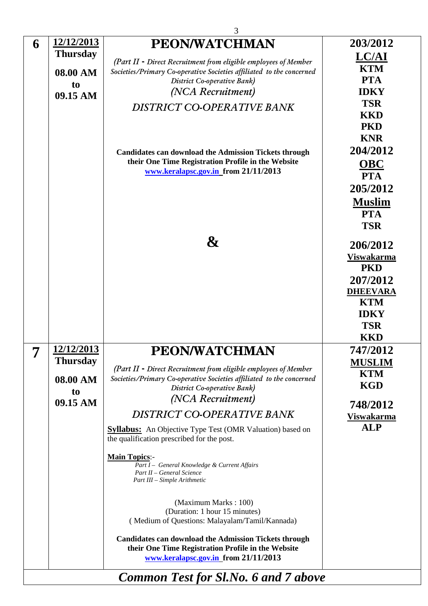|         |                   | 3                                                                                                                                                          |                   |
|---------|-------------------|------------------------------------------------------------------------------------------------------------------------------------------------------------|-------------------|
| 6       | 12/12/2013        | <b>PEON/WATCHMAN</b>                                                                                                                                       | 203/2012          |
|         | <b>Thursday</b>   | (Part II - Direct Recruitment from eligible employees of Member                                                                                            | <b>LC/AI</b>      |
|         | 08.00 AM          | Societies/Primary Co-operative Societies affiliated to the concerned                                                                                       | <b>KTM</b>        |
|         | to                | District Co-operative Bank)                                                                                                                                | <b>PTA</b>        |
|         | 09.15 AM          | (NCA Recruitment)                                                                                                                                          | <b>IDKY</b>       |
|         |                   | DISTRICT CO-OPERATIVE BANK                                                                                                                                 | <b>TSR</b>        |
|         |                   |                                                                                                                                                            | <b>KKD</b>        |
|         |                   |                                                                                                                                                            | <b>PKD</b>        |
|         |                   |                                                                                                                                                            | <b>KNR</b>        |
|         |                   | <b>Candidates can download the Admission Tickets through</b>                                                                                               | 204/2012          |
|         |                   | their One Time Registration Profile in the Website<br>www.keralapsc.gov.in from 21/11/2013                                                                 | <b>OBC</b>        |
|         |                   |                                                                                                                                                            | <b>PTA</b>        |
|         |                   |                                                                                                                                                            | 205/2012          |
|         |                   |                                                                                                                                                            | <b>Muslim</b>     |
|         |                   |                                                                                                                                                            | <b>PTA</b>        |
|         |                   |                                                                                                                                                            | <b>TSR</b>        |
|         |                   | $\boldsymbol{\&}$                                                                                                                                          | 206/2012          |
|         |                   |                                                                                                                                                            | <b>Viswakarma</b> |
|         |                   |                                                                                                                                                            | <b>PKD</b>        |
|         |                   |                                                                                                                                                            | 207/2012          |
|         |                   |                                                                                                                                                            | <b>DHEEVARA</b>   |
|         |                   |                                                                                                                                                            | <b>KTM</b>        |
|         |                   |                                                                                                                                                            | <b>IDKY</b>       |
|         |                   |                                                                                                                                                            | <b>TSR</b>        |
|         |                   |                                                                                                                                                            | <b>KKD</b>        |
| −.<br>1 | <u>12/12/2013</u> | PEON/WATCHMAN                                                                                                                                              | 747/2012          |
|         | <b>Thursday</b>   | (Part II - Direct Recruitment from eligible employees of Member                                                                                            | <b>MUSLIM</b>     |
|         | 08.00 AM          | Societies/Primary Co-operative Societies affiliated to the concerned                                                                                       | <b>KTM</b>        |
|         | t <sub>o</sub>    | District Co-operative Bank)                                                                                                                                | <b>KGD</b>        |
|         | 09.15 AM          | (NCA Recruitment)                                                                                                                                          | 748/2012          |
|         |                   | DISTRICT CO-OPERATIVE BANK                                                                                                                                 | <b>Viswakarma</b> |
|         |                   | <b>Syllabus:</b> An Objective Type Test (OMR Valuation) based on<br>the qualification prescribed for the post.                                             | <b>ALP</b>        |
|         |                   | <b>Main Topics:-</b><br>Part I - General Knowledge & Current Affairs<br>Part II - General Science<br>Part III - Simple Arithmetic                          |                   |
|         |                   | (Maximum Marks: 100)                                                                                                                                       |                   |
|         |                   | (Duration: 1 hour 15 minutes)<br>(Medium of Questions: Malayalam/Tamil/Kannada)                                                                            |                   |
|         |                   | <b>Candidates can download the Admission Tickets through</b><br>their One Time Registration Profile in the Website<br>www.keralapsc.gov.in from 21/11/2013 |                   |
|         |                   |                                                                                                                                                            |                   |
|         |                   | <b>Common Test for Sl.No. 6 and 7 above</b>                                                                                                                |                   |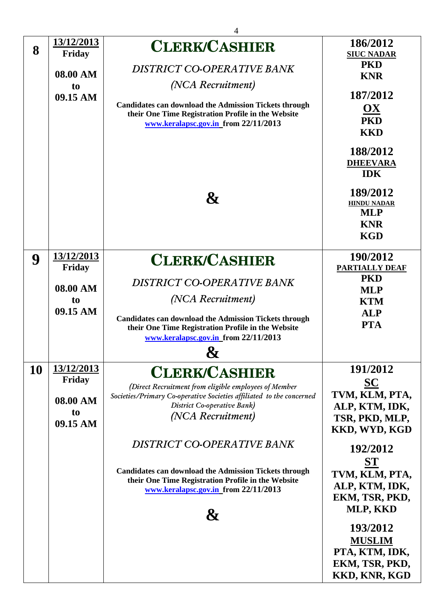|           |                                                                              | 4                                                                                                                                                                                                                                                                   |                                                                                                                                                                                                                                                     |
|-----------|------------------------------------------------------------------------------|---------------------------------------------------------------------------------------------------------------------------------------------------------------------------------------------------------------------------------------------------------------------|-----------------------------------------------------------------------------------------------------------------------------------------------------------------------------------------------------------------------------------------------------|
| 8         | 13/12/2013<br>Friday<br>08.00 AM<br>t <sub>o</sub><br>09.15 AM<br>13/12/2013 | <b>CLERK/CASHIER</b><br>DISTRICT CO-OPERATIVE BANK<br>(NCA Recruitment)<br><b>Candidates can download the Admission Tickets through</b><br>their One Time Registration Profile in the Website<br>www.keralapsc.gov.in_from 22/11/2013<br>$\boldsymbol{\mathcal{X}}$ | 186/2012<br><b>SIUC NADAR</b><br><b>PKD</b><br><b>KNR</b><br>187/2012<br><u>OX</u><br><b>PKD</b><br><b>KKD</b><br>188/2012<br><b>DHEEVARA</b><br><b>IDK</b><br>189/2012<br><b>HINDU NADAR</b><br><b>MLP</b><br><b>KNR</b><br><b>KGD</b><br>190/2012 |
| 9         | Friday                                                                       | <b>CLERK/CASHIER</b>                                                                                                                                                                                                                                                | <b>PARTIALLY DEAF</b>                                                                                                                                                                                                                               |
|           | 08.00 AM<br>to<br>09.15 AM                                                   | DISTRICT CO-OPERATIVE BANK<br>(NCA Recruitment)<br><b>Candidates can download the Admission Tickets through</b><br>their One Time Registration Profile in the Website<br>www.keralapsc.gov.in from 22/11/2013<br>O                                                  | <b>PKD</b><br><b>MLP</b><br><b>KTM</b><br><b>ALP</b><br><b>PTA</b>                                                                                                                                                                                  |
| <b>10</b> | <u>13/12/2013</u>                                                            | <b>CLERK/CASHIER</b>                                                                                                                                                                                                                                                | 191/2012                                                                                                                                                                                                                                            |
|           | Friday<br>08.00 AM<br>to<br>09.15 AM                                         | (Direct Recruitment from eligible employees of Member<br>Societies/Primary Co-operative Societies affiliated to the concerned<br>District Co-operative Bank)<br>(NCA Recruitment)                                                                                   | <b>SC</b><br>TVM, KLM, PTA,<br>ALP, KTM, IDK,<br>TSR, PKD, MLP,<br>KKD, WYD, KGD                                                                                                                                                                    |
|           |                                                                              | DISTRICT CO-OPERATIVE BANK<br><b>Candidates can download the Admission Tickets through</b><br>their One Time Registration Profile in the Website<br>www.keralapsc.gov.in from 22/11/2013<br>X7                                                                      | 192/2012<br>ST<br>TVM, KLM, PTA,<br>ALP, KTM, IDK,<br>EKM, TSR, PKD,<br>MLP, KKD<br>193/2012<br><b>MUSLIM</b><br>PTA, KTM, IDK,<br>EKM, TSR, PKD,<br>KKD, KNR, KGD                                                                                  |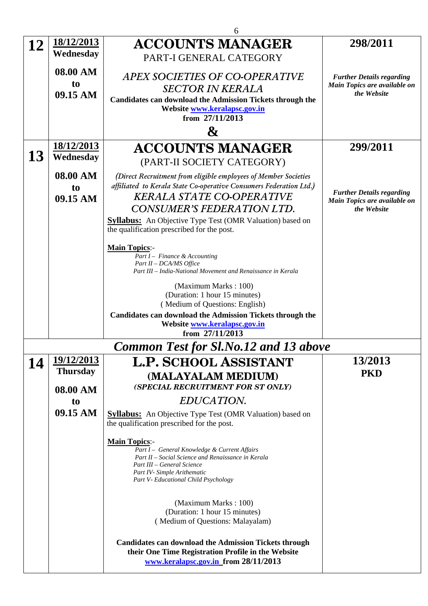|    | 6                 |                                                                                                                |                                                                  |  |
|----|-------------------|----------------------------------------------------------------------------------------------------------------|------------------------------------------------------------------|--|
| 12 | <u>18/12/2013</u> | <b>ACCOUNTS MANAGER</b>                                                                                        | 298/2011                                                         |  |
|    | Wednesday         | PART-I GENERAL CATEGORY                                                                                        |                                                                  |  |
|    | 08.00 AM          |                                                                                                                |                                                                  |  |
|    | to                | APEX SOCIETIES OF CO-OPERATIVE                                                                                 | <b>Further Details regarding</b><br>Main Topics are available on |  |
|    | 09.15 AM          | <b>SECTOR IN KERALA</b>                                                                                        | the Website                                                      |  |
|    |                   | <b>Candidates can download the Admission Tickets through the</b><br>Website www.keralapsc.gov.in               |                                                                  |  |
|    |                   | from 27/11/2013                                                                                                |                                                                  |  |
|    |                   | $\boldsymbol{\&}$                                                                                              |                                                                  |  |
|    | 18/12/2013        | <b>ACCOUNTS MANAGER</b>                                                                                        | 299/2011                                                         |  |
| 13 | Wednesday         | (PART-II SOCIETY CATEGORY)                                                                                     |                                                                  |  |
|    | 08.00 AM          | (Direct Recruitment from eligible employees of Member Societies                                                |                                                                  |  |
|    | to                | affiliated to Kerala State Co-operative Consumers Federation Ltd.)                                             | <b>Further Details regarding</b>                                 |  |
|    | 09.15 AM          | <b>KERALA STATE CO-OPERATIVE</b>                                                                               | Main Topics are available on                                     |  |
|    |                   | CONSUMER'S FEDERATION LTD.                                                                                     | the Website                                                      |  |
|    |                   | <b>Syllabus:</b> An Objective Type Test (OMR Valuation) based on<br>the qualification prescribed for the post. |                                                                  |  |
|    |                   |                                                                                                                |                                                                  |  |
|    |                   | <b>Main Topics:-</b>                                                                                           |                                                                  |  |
|    |                   | Part I – Finance & Accounting<br>Part II - DCA/MS Office                                                       |                                                                  |  |
|    |                   | Part III - India-National Movement and Renaissance in Kerala                                                   |                                                                  |  |
|    |                   | (Maximum Marks: 100)                                                                                           |                                                                  |  |
|    |                   | (Duration: 1 hour 15 minutes)                                                                                  |                                                                  |  |
|    |                   | (Medium of Questions: English)<br>Candidates can download the Admission Tickets through the                    |                                                                  |  |
|    |                   | Website www.keralapsc.gov.in                                                                                   |                                                                  |  |
|    |                   | from 27/11/2013                                                                                                |                                                                  |  |
|    |                   | <b>Common Test for Sl.No.12 and 13 above</b>                                                                   |                                                                  |  |
| 14 | <u>19/12/2013</u> | <b>L.P. SCHOOL ASSISTANT</b>                                                                                   | 13/2013                                                          |  |
|    | <b>Thursday</b>   | (MALAYALAM MEDIUM)                                                                                             | <b>PKD</b>                                                       |  |
|    | 08.00 AM          | (SPECIAL RECRUITMENT FOR ST ONLY)                                                                              |                                                                  |  |
|    | to                | EDUCATION.                                                                                                     |                                                                  |  |
|    | 09.15 AM          | <b>Syllabus:</b> An Objective Type Test (OMR Valuation) based on                                               |                                                                  |  |
|    |                   | the qualification prescribed for the post.                                                                     |                                                                  |  |
|    |                   | <b>Main Topics:-</b>                                                                                           |                                                                  |  |
|    |                   | Part I - General Knowledge & Current Affairs                                                                   |                                                                  |  |
|    |                   | Part II – Social Science and Renaissance in Kerala<br>Part III – General Science                               |                                                                  |  |
|    |                   | Part IV- Simple Arithematic<br>Part V- Educational Child Psychology                                            |                                                                  |  |
|    |                   |                                                                                                                |                                                                  |  |
|    |                   | (Maximum Marks: 100)                                                                                           |                                                                  |  |
|    |                   | (Duration: 1 hour 15 minutes)                                                                                  |                                                                  |  |
|    |                   | (Medium of Questions: Malayalam)                                                                               |                                                                  |  |
|    |                   | <b>Candidates can download the Admission Tickets through</b>                                                   |                                                                  |  |
|    |                   | their One Time Registration Profile in the Website                                                             |                                                                  |  |
|    |                   | www.keralapsc.gov.in from 28/11/2013                                                                           |                                                                  |  |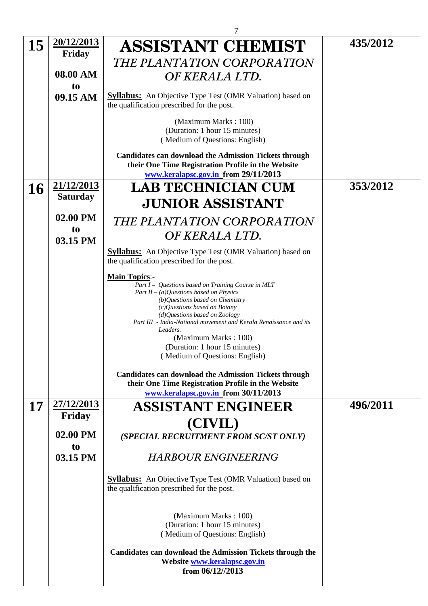|           |                   | 7                                                                                                                                                                                                                                                                                                                                                                                                      |          |
|-----------|-------------------|--------------------------------------------------------------------------------------------------------------------------------------------------------------------------------------------------------------------------------------------------------------------------------------------------------------------------------------------------------------------------------------------------------|----------|
| 15        | <u>20/12/2013</u> | <b>ASSISTANT CHEMIST</b>                                                                                                                                                                                                                                                                                                                                                                               | 435/2012 |
|           | Friday            | THE PLANTATION CORPORATION                                                                                                                                                                                                                                                                                                                                                                             |          |
|           | 08.00 AM<br>to    | OF KERALA LTD.                                                                                                                                                                                                                                                                                                                                                                                         |          |
|           | 09.15 AM          | <b>Syllabus:</b> An Objective Type Test (OMR Valuation) based on<br>the qualification prescribed for the post.                                                                                                                                                                                                                                                                                         |          |
|           |                   | (Maximum Marks: 100)<br>(Duration: 1 hour 15 minutes)<br>(Medium of Questions: English)                                                                                                                                                                                                                                                                                                                |          |
|           |                   | <b>Candidates can download the Admission Tickets through</b><br>their One Time Registration Profile in the Website<br>www.keralapsc.gov.in from 29/11/2013                                                                                                                                                                                                                                             |          |
| <b>16</b> | 21/12/2013        | <b>LAB TECHNICIAN CUM</b>                                                                                                                                                                                                                                                                                                                                                                              | 353/2012 |
|           | <b>Saturday</b>   | <b>JUNIOR ASSISTANT</b>                                                                                                                                                                                                                                                                                                                                                                                |          |
|           | 02.00 PM          |                                                                                                                                                                                                                                                                                                                                                                                                        |          |
|           | to                | THE PLANTATION CORPORATION                                                                                                                                                                                                                                                                                                                                                                             |          |
|           | 03.15 PM          | OF KERALA LTD.                                                                                                                                                                                                                                                                                                                                                                                         |          |
|           |                   | <b>Syllabus:</b> An Objective Type Test (OMR Valuation) based on<br>the qualification prescribed for the post.                                                                                                                                                                                                                                                                                         |          |
|           |                   | <b>Main Topics:-</b><br>Part I - Questions based on Training Course in MLT<br>Part II – (a)Questions based on Physics<br>(b)Questions based on Chemistry<br>(c) Questions based on Botany<br>(d)Questions based on Zoology<br>Part III - India-National movement and Kerala Renaissance and its<br>Leaders.<br>(Maximum Marks: 100)<br>(Duration: 1 hour 15 minutes)<br>(Medium of Questions: English) |          |
|           |                   | <b>Candidates can download the Admission Tickets through</b><br>their One Time Registration Profile in the Website<br>www.keralapsc.gov.in from 30/11/2013                                                                                                                                                                                                                                             |          |
| 17        | 27/12/2013        | ASSISTANT ENGINEER                                                                                                                                                                                                                                                                                                                                                                                     | 496/2011 |
|           | Friday            |                                                                                                                                                                                                                                                                                                                                                                                                        |          |
|           | 02.00 PM          | (CIVIL)<br>(SPECIAL RECRUITMENT FROM SC/ST ONLY)                                                                                                                                                                                                                                                                                                                                                       |          |
|           | to                |                                                                                                                                                                                                                                                                                                                                                                                                        |          |
|           | 03.15 PM          | <b>HARBOUR ENGINEERING</b>                                                                                                                                                                                                                                                                                                                                                                             |          |
|           |                   | <b>Syllabus:</b> An Objective Type Test (OMR Valuation) based on<br>the qualification prescribed for the post.                                                                                                                                                                                                                                                                                         |          |
|           |                   | (Maximum Marks: 100)<br>(Duration: 1 hour 15 minutes)<br>(Medium of Questions: English)<br><b>Candidates can download the Admission Tickets through the</b>                                                                                                                                                                                                                                            |          |
|           |                   | Website www.keralapsc.gov.in<br>from 06/12//2013                                                                                                                                                                                                                                                                                                                                                       |          |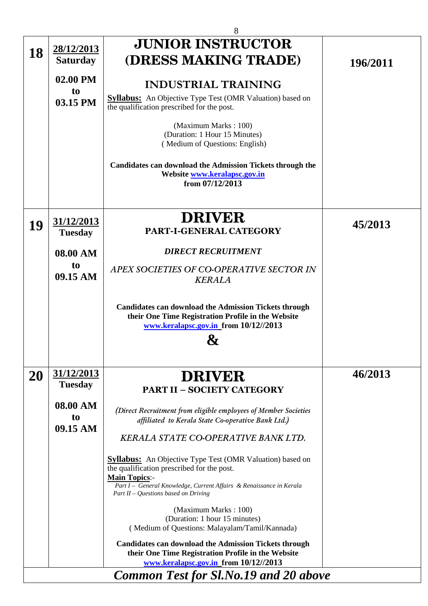|                                              |                                      | 8                                                                                                                                                                                                                                                     |          |
|----------------------------------------------|--------------------------------------|-------------------------------------------------------------------------------------------------------------------------------------------------------------------------------------------------------------------------------------------------------|----------|
|                                              |                                      | <b>JUNIOR INSTRUCTOR</b>                                                                                                                                                                                                                              |          |
| 18                                           | <u>28/12/2013</u><br><b>Saturday</b> | (DRESS MAKING TRADE)                                                                                                                                                                                                                                  | 196/2011 |
|                                              |                                      |                                                                                                                                                                                                                                                       |          |
|                                              | 02.00 PM                             | <b>INDUSTRIAL TRAINING</b>                                                                                                                                                                                                                            |          |
|                                              | to<br>03.15 PM                       | <b>Syllabus:</b> An Objective Type Test (OMR Valuation) based on<br>the qualification prescribed for the post.                                                                                                                                        |          |
|                                              |                                      | (Maximum Marks: 100)<br>(Duration: 1 Hour 15 Minutes)<br>(Medium of Questions: English)                                                                                                                                                               |          |
|                                              |                                      | <b>Candidates can download the Admission Tickets through the</b><br>Website www.keralapsc.gov.in<br>from 07/12/2013                                                                                                                                   |          |
| 19                                           | 31/12/2013<br><b>Tuesday</b>         | <b>DRIVER</b><br>PART-I-GENERAL CATEGORY                                                                                                                                                                                                              | 45/2013  |
|                                              | 08.00 AM                             | <b>DIRECT RECRUITMENT</b>                                                                                                                                                                                                                             |          |
|                                              | to<br>09.15 AM                       | APEX SOCIETIES OF CO-OPERATIVE SECTOR IN<br><b>KERALA</b>                                                                                                                                                                                             |          |
|                                              |                                      | <b>Candidates can download the Admission Tickets through</b><br>their One Time Registration Profile in the Website<br>www.keralapsc.gov.in from 10/12//2013                                                                                           |          |
| 20                                           | <u>31/12/2013</u>                    | <b>DRIVER</b>                                                                                                                                                                                                                                         | 46/2013  |
|                                              | <b>Tuesday</b>                       | <b>PART II - SOCIETY CATEGORY</b>                                                                                                                                                                                                                     |          |
|                                              | 08.00 AM<br>to<br>09.15 AM           | (Direct Recruitment from eligible employees of Member Societies<br>affiliated to Kerala State Co-operative Bank Ltd.)<br><b>KERALA STATE CO-OPERATIVE BANK LTD.</b>                                                                                   |          |
|                                              |                                      | <b>Syllabus:</b> An Objective Type Test (OMR Valuation) based on<br>the qualification prescribed for the post.<br><b>Main Topics:-</b><br>Part I - General Knowledge, Current Affairs & Renaissance in Kerala<br>Part II – Questions based on Driving |          |
|                                              |                                      | (Maximum Marks: 100)<br>(Duration: 1 hour 15 minutes)<br>(Medium of Questions: Malayalam/Tamil/Kannada)<br><b>Candidates can download the Admission Tickets through</b>                                                                               |          |
|                                              |                                      | their One Time Registration Profile in the Website<br>www.keralapsc.gov.in_from 10/12//2013                                                                                                                                                           |          |
| <b>Common Test for Sl.No.19 and 20 above</b> |                                      |                                                                                                                                                                                                                                                       |          |